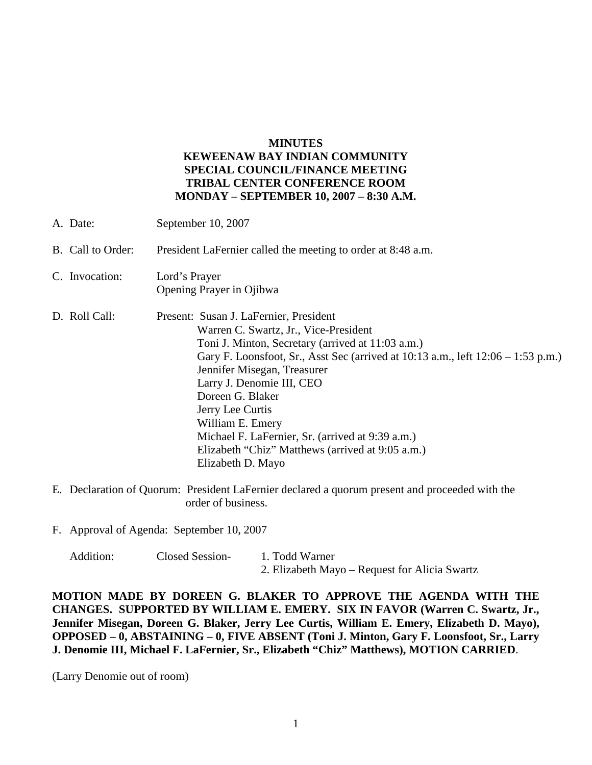## **MINUTES**

## **KEWEENAW BAY INDIAN COMMUNITY SPECIAL COUNCIL/FINANCE MEETING TRIBAL CENTER CONFERENCE ROOM MONDAY – SEPTEMBER 10, 2007 – 8:30 A.M.**

| A. Date:          | September 10, 2007                                                                                                                                                                                                                                                                                                                                                                                                                                                                |
|-------------------|-----------------------------------------------------------------------------------------------------------------------------------------------------------------------------------------------------------------------------------------------------------------------------------------------------------------------------------------------------------------------------------------------------------------------------------------------------------------------------------|
| B. Call to Order: | President LaFernier called the meeting to order at 8:48 a.m.                                                                                                                                                                                                                                                                                                                                                                                                                      |
| C. Invocation:    | Lord's Prayer<br>Opening Prayer in Ojibwa                                                                                                                                                                                                                                                                                                                                                                                                                                         |
| D. Roll Call:     | Present: Susan J. LaFernier, President<br>Warren C. Swartz, Jr., Vice-President<br>Toni J. Minton, Secretary (arrived at 11:03 a.m.)<br>Gary F. Loonsfoot, Sr., Asst Sec (arrived at $10:13$ a.m., left $12:06 - 1:53$ p.m.)<br>Jennifer Misegan, Treasurer<br>Larry J. Denomie III, CEO<br>Doreen G. Blaker<br>Jerry Lee Curtis<br>William E. Emery<br>Michael F. LaFernier, Sr. (arrived at 9:39 a.m.)<br>Elizabeth "Chiz" Matthews (arrived at 9:05 a.m.)<br>Elizabeth D. Mayo |

- E. Declaration of Quorum: President LaFernier declared a quorum present and proceeded with the order of business.
- F. Approval of Agenda: September 10, 2007

Addition: Closed Session- 1. Todd Warner 2. Elizabeth Mayo – Request for Alicia Swartz

**MOTION MADE BY DOREEN G. BLAKER TO APPROVE THE AGENDA WITH THE CHANGES. SUPPORTED BY WILLIAM E. EMERY. SIX IN FAVOR (Warren C. Swartz, Jr., Jennifer Misegan, Doreen G. Blaker, Jerry Lee Curtis, William E. Emery, Elizabeth D. Mayo), OPPOSED – 0, ABSTAINING – 0, FIVE ABSENT (Toni J. Minton, Gary F. Loonsfoot, Sr., Larry J. Denomie III, Michael F. LaFernier, Sr., Elizabeth "Chiz" Matthews), MOTION CARRIED**.

(Larry Denomie out of room)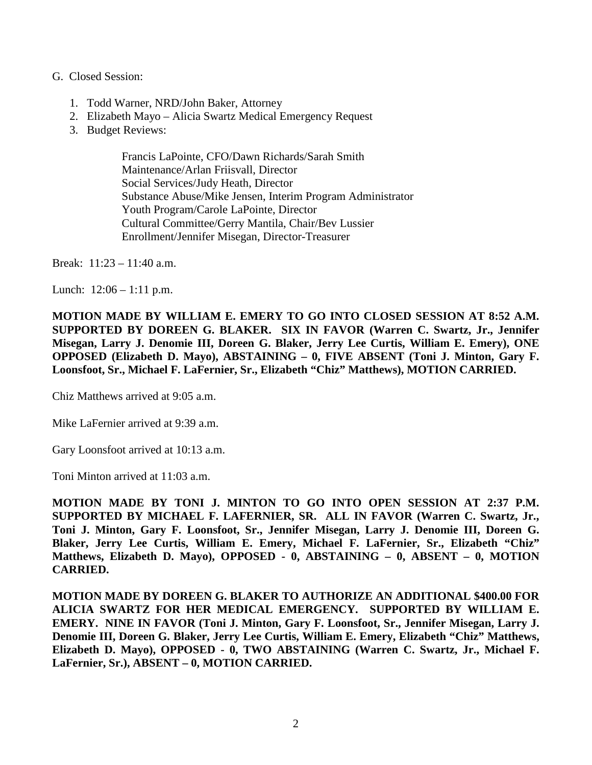## G. Closed Session:

- 1. Todd Warner, NRD/John Baker, Attorney
- 2. Elizabeth Mayo Alicia Swartz Medical Emergency Request
- 3. Budget Reviews:

Francis LaPointe, CFO/Dawn Richards/Sarah Smith Maintenance/Arlan Friisvall, Director Social Services/Judy Heath, Director Substance Abuse/Mike Jensen, Interim Program Administrator Youth Program/Carole LaPointe, Director Cultural Committee/Gerry Mantila, Chair/Bev Lussier Enrollment/Jennifer Misegan, Director-Treasurer

Break: 11:23 – 11:40 a.m.

Lunch:  $12:06 - 1:11$  p.m.

**MOTION MADE BY WILLIAM E. EMERY TO GO INTO CLOSED SESSION AT 8:52 A.M. SUPPORTED BY DOREEN G. BLAKER. SIX IN FAVOR (Warren C. Swartz, Jr., Jennifer Misegan, Larry J. Denomie III, Doreen G. Blaker, Jerry Lee Curtis, William E. Emery), ONE OPPOSED (Elizabeth D. Mayo), ABSTAINING – 0, FIVE ABSENT (Toni J. Minton, Gary F. Loonsfoot, Sr., Michael F. LaFernier, Sr., Elizabeth "Chiz" Matthews), MOTION CARRIED.**

Chiz Matthews arrived at 9:05 a.m.

Mike LaFernier arrived at 9:39 a.m.

Gary Loonsfoot arrived at 10:13 a.m.

Toni Minton arrived at 11:03 a.m.

**MOTION MADE BY TONI J. MINTON TO GO INTO OPEN SESSION AT 2:37 P.M. SUPPORTED BY MICHAEL F. LAFERNIER, SR. ALL IN FAVOR (Warren C. Swartz, Jr., Toni J. Minton, Gary F. Loonsfoot, Sr., Jennifer Misegan, Larry J. Denomie III, Doreen G. Blaker, Jerry Lee Curtis, William E. Emery, Michael F. LaFernier, Sr., Elizabeth "Chiz" Matthews, Elizabeth D. Mayo), OPPOSED - 0, ABSTAINING – 0, ABSENT – 0, MOTION CARRIED.**

**MOTION MADE BY DOREEN G. BLAKER TO AUTHORIZE AN ADDITIONAL \$400.00 FOR ALICIA SWARTZ FOR HER MEDICAL EMERGENCY. SUPPORTED BY WILLIAM E. EMERY. NINE IN FAVOR (Toni J. Minton, Gary F. Loonsfoot, Sr., Jennifer Misegan, Larry J. Denomie III, Doreen G. Blaker, Jerry Lee Curtis, William E. Emery, Elizabeth "Chiz" Matthews, Elizabeth D. Mayo), OPPOSED - 0, TWO ABSTAINING (Warren C. Swartz, Jr., Michael F. LaFernier, Sr.), ABSENT – 0, MOTION CARRIED.**